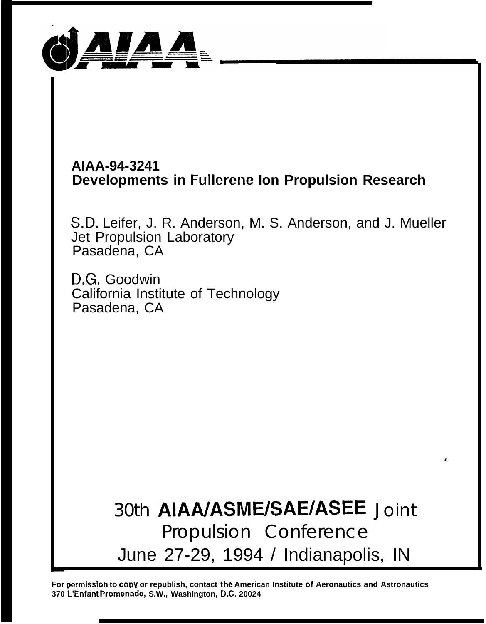

# **AIAA-94-3241 Developments in Fullerene Ion Propulsion Research**

S.D. Leifer, J. R. Anderson, M. S. Anderson, and J. Mueller Jet Propulsion Laboratory Pasadena, CA

D.G. Goodwin California Institute of Technology Pasadena, CA

> 30th AIAA/ASME/SAE/ASEE Joint Propulsion Conference June 27-29, 1994 / Indianapolis, IN

**4**

For permission to copy or republish, contact the American Institute of Aeronautics and Astronautics **370 ~'Enfant Promenak, S.W., Washington, D.C. 20024**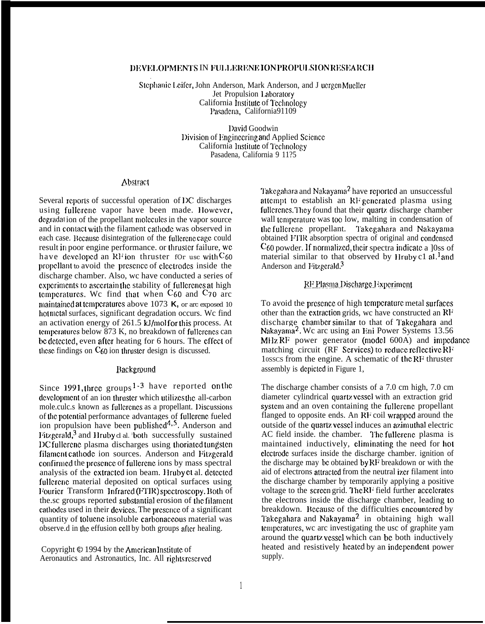### DEVELOPMENTS IN FULLERENE ION PROPULSION RESEARCH

Stephanic Leifer, John Anderson, Mark Anderson, and J uergen Mueller Jet Propulsion Laboratory California Institute of Technology Pasadena, California91109

> IJavid Goodwin l)ivision of Iinginccring and Applied Scicncc California Institute of Technology Pasadena, California 9 11?5

#### **Abstract**

Several reports of successful operation of IX discharges using fullerene vapor have been made. However, degradation of the propellant molecules in the vapor source and in contacl with the filament calhodc was observed in each case. Because disintegration of the fullerene cage could result in poor engine performance. or lhruslcr failure, wc have developed an RF ion thruster for usc with  $C_{60}$ propellant to avoid the presence of electrodes inside the discharge chamber. Also, wc have conducted a series of experiments to ascertain the stability of fullerenes at high temperatures. We find that when  $C_{60}$  and  $C_{70}$  arc maintained at temperatures above 1073 K, or arc exposed 10 hotmetal surfaces, significant degradation occurs. We find an activation energy of 261.5 kJ/mol for this process. At temperatures below 873 K, no breakdown of fullerenes can be detected, even after heating for 6 hours. The effect of these findings on  $C_{60}$  ion thruster design is discussed.

### Background

Since 1991, three groups  $1-3$  have reported on the development of an ion thruster which utilizes the all-carbon mole.culc.s known as fullerenes as a propellant. Discussions of the potential performance advantages of fullerene fueled ion propulsion have been published<sup>4,5</sup>. Anderson and Fitzgerald, $3$  and Hruby cl al. both successfully sustained DC fullcrenc plasma discharges using thoriated tungsten filament cathode ion sources. Anderson and Fitzgerald confirmed the presence of fullerene ions by mass spectral analysis of the extracted ion beam. Hruby et al. detected fullcrenc material deposited on optical surfaces using Fourier Transform Infrared (FTIR) spectroscopy. Both of the.sc groups reported substantial erosion of the filament cathodes used in their devices. The presence of a significant quantity of toluene insoluble carbonace ous material was observe.d in lhc effusion CC1l by both groups aflcr healing.

Copyright  $\odot$  1994 by the American Institute of Aeronautics and Astronautics, Inc. All rights reserved Takcgahara and Nakayama2 have rcporlcd an unsuccessful attempt to establish an RF generated plasma using fullcrenes. They found that their quartz discharge chamber wall temperature was too low, malting in condensation of the fullcrenc propellant. Takegahara and Nakayama obtained ITIR absorption spectra of original and condensed  $C_{60}$  powder. If normalized, their spectra indicate a  $|0$ ss of material similar to that observed by Hruby c1 al.<sup>1</sup> and Anderson and Fitzgcrald.<sup>3</sup>

# RF Plasma Discharge Experiment

To avoid the presence of high temperature metal surfaces other than the extraction grids, wc have constructed an RF discharge chamber similar to that of Takegahara and Nakayama<sup>2</sup>. We arc using an Eni Power Systems 13.56 MHz  $RF$  power generator (model 600A) and impedance matching circuit (RF Services) to reduce reflective RF 10SSCS from the engine. A schematic of lhc RF thruster assembly is dcpictcd in Figure 1,

The discharge chamber consists of a 7.0 cm high, 7.0 cm diameter cylindrical quartz vessel with an extraction grid system and an oven containing the fullerene propellant flanged to opposite ends. An RF coil wrapped around the outside of the quartz vessel induces an azimuthal electric AC field inside. the chamber. The fullerenc plasma is maintained inductively, clirninating the need for hot clcctrodc surfaces inside the discharge chamber. ignition of the discharge may bc obtained by RF breakdown or with the aid of electrons attracted from the neutral izer filament into the discharge chamber by temporarily applying a positive voltage to the screen grid. The RI<sup>I</sup> field further accelerates the electrons inside the discharge chamber, leading to breakdown. Because of the difficulties encountered by Takegahara and Nakayama<sup>2</sup> in obtaining high wall tcmpcraturcs, wc arc investigating the usc of graphite yam around the quartz vessel which can be both inductively heated and resistively heated by an independent power supply.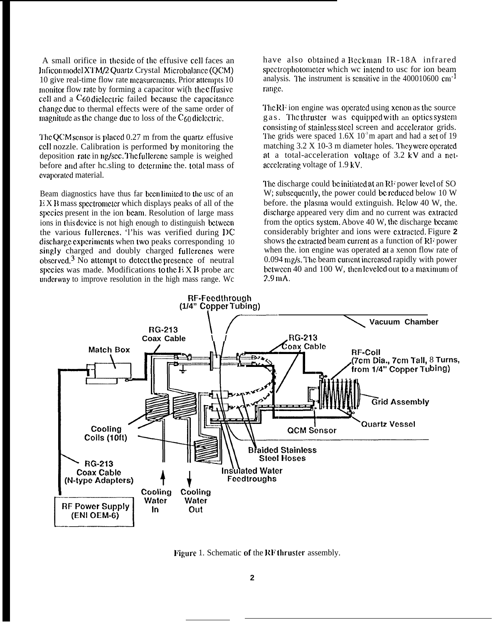A small orifice in the side of the effusive cell faces an lnficon nmdcl X'1'M/2 Quarlz Crystal Microbalancc (QCM) 10 give real-time flow rate measurements. Prior attempts 10 monitor flow rate by forming a capacitor wi(h the effusive ccII and a  $C_{60}$  dielectric failed because the capacitance change duc to thermal effects were of the same order of magnitude as the change due to loss of the  $C_{60}$  diclectric.

The QCM school is placed 0.27 m from the quartz effusive ccll nozzle. Calibration is performed by monitoring the deposition rate in ng/sec. The fullerene sample is weighed before and after hc.sling to determine the. total mass of evaporated material.

Beam diagnostics have thus far been limited to the usc of an E X B mass spcclromctcr which displays peaks of all of the species present in the ion beam. Resolution of large mass ions in this dcvicc is not high enough to distinguish bctwccn the various fullcrcncs. 'l'his was verified during DC discharge experiments when two peaks corresponding 10 singly charged and doubly charged fullcrenes were observed,  $3$  No attempt to detect the presence of neutral spccics was made. Modifications <sup>10</sup> the E X B probe arc underway to improve resolution in the high mass range. We

have also obtained a Beckman IR-18A infrared spectrophotometer which we intend to usc for ion beam analysis. The instrument is sensitive in the  $400010600 \text{ cm}^{-1}$ range.

The RF ion engine was operated using xenon as the source gas. The thruster was equipped with an optics system consisting of stainless steel screen and accelerator grids. The grids were spaced  $1.6X$   $10<sup>3</sup>$ m apart and had a set of 19 matching  $3.2 \times 10-3$  m diameter holes. They were operated at a total-acceleration vollagc of 3.2 kV and a nctaccclcmting voltage of 1.9 kV,

The discharge could be initiated at an RF power level of SO. W; subsequently, the power could be reduced below 10 W before, the plasma would extinguish. Below 40 W, the. discharge appeared very dim and no current was extracted from the optics system. Above 40 W, the discharge became considerably brighter and ions were cxtracted. Figure 2 shows the extracted beam current as a function of  $RF$  power when the. ion engine was operated at a xenon flow rate of  $0.094$  mg/s. The beam current increased rapidly with power bctwecn 40 and 100 W, then leveled out to a maximum of  $2.9 \,\mathrm{mA}$ .



Figure 1. Schematic of the RF thruster assembly.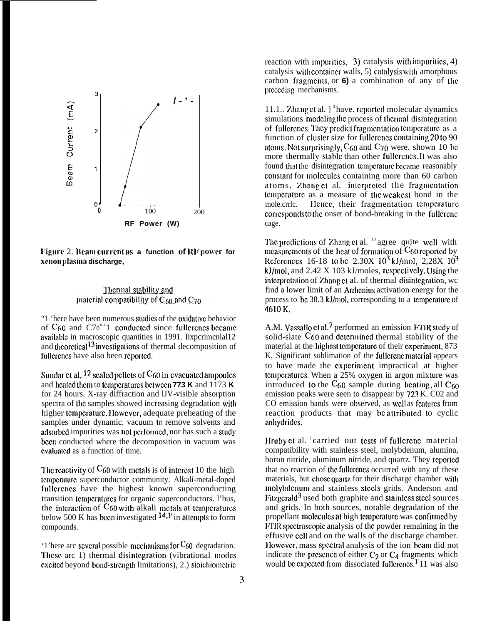

**Figure 2. Beam current as a function of RF power for xcIIon phsma discharge,**

## Thermal stability and material compatibility of  $C_{60}$  and  $C_{70}$

"1 'here have been numerous studies of the oxidative behavior of  $C_{60}$  and  $C70^{6-1}1$  conducted since fullerenes became available in macroscopic quantities in 1991. Iixpcrimcnlal12 and theoretical<sup>13</sup> investigations of thermal decomposition of fullcrenes have also been reported.

Sundar et al,  $^{12}$  scaled pellets of C60 in evacuated ampoules and heated them to temperatures between 773 K and 1173 K for 24 hours. X-ray diffraction and lJV-visible absorption spectra of the samples showed increasing degradation with higher temperature. However, adequate preheating of the samples under dynamic. vacuum to remove solvents and adsorbed impurities was not performed, nor has such a study been conducted where the decomposition in vacuum was cvaluated as a function of time.

**The reactivity of C<sub>60</sub>** with metals is of interest 10 the high temperature superconductor community. Alkali-metal-doped fullerenes have the highest known superconducting transition temperatures for organic superconductors. l'bus, the interaction of  $C_{60}$  with alkali metals at temperatures below 500 K has been investigated  $14.1\frac{1}{15}$  in attempts to form compounds.

'1'here arc several possible mechanisms for  $C_{60}$  degradation. These arc 1) thermal disintegration (vibrational modes cxcitcd beyond bond-strcnglh limitations), 2.) stoichiomctric reaction with impurities,  $3)$  catalysis with impurities,  $4)$ catalysis with container walls, 5) catalysis with amorphous carbon fragments, or  $6$ ) a combination of any of the prcccding mechanisms.

11.1.. Zhang et al.  $\int_0^3 h$  ave. reported molecular dynamics simulations modeling the process of thermal disintegration of fullerenes. They predict fragmentation temperature as a function of cluster size for fullerenes containing 20 to 90 atoms. Not surprisingly,  $C_{60}$  and  $C_{70}$  were. shown 10 bc. more thermally stable than other fullcrenes. It was also found that the disintegration temperature became reasonably constant for molecules containing more than 60 carbon atoms. Zhang et al. interpreted the fragmentation temperature as a measure of the weakest bond in the mole.crrlc. Hence, their fragmentation temperature corresponds to the onset of bond-breaking in the fullerene cage.

The predictions of Zhang et al.  $\frac{13}{3}$  agree quite well with mcasurements of the heat of formation of  $C_{60}$  reported by References 16-18 to be  $2.30X$  10<sup>3</sup> kJ/mol,  $2.28X$  10<sup>3</sup> kJ/mol, and  $2.42 \times 103$  kJ/moles, respectively. Using the interpretation of Zhang et al. of thermal disintegration, wc find a lower limit of an Arrlcnius activation energy for the process to be 38.3 kJ/mol, corresponding to a temperature of 4610K.

A.M. Vassallo et al.<sup>7</sup> performed an emission FTIR study of solid-slate C<sub>60</sub> and determined thermal stability of the material at the highest temperature of their experiment, 873 K, Significant sublimation of the fullcrene material appears to have made the experiment impractical at higher tcmpcraturcs. When a 25% oxygen in argon mixture was introduced to the  $C_{60}$  sample during heating, all  $C_{60}$ emission peaks were seen to disappear by 723 K. C02 and CO emission bands were observed, as well as fcatures from reaction products that may be attributed to cyclic anhydrides.

Hruby et al.  $\frac{1}{2}$  carried out tests of fullerene material compatibility with stainless steel, molybdenum, alumina, boron nitride, aluminum nitride, and quartz. They rcporlcd that no reaction of the fullerenes occurred with any of these materials, but chose quartz for their discharge chamber with molybdenum and stainless steels grids. Anderson and Fitzgcrald<sup>3</sup> used both graphite and stainless steel sources and grids. In both sources, notable degradation of the propellant molecules at high temperature was confirmed by FTIR spectroscopic analysis of the powder remaining in the effusive cell and on the walls of the discharge chamber. However, mass spectral analysis of the ion beam did not indicate the presence of either  $C_2$  or  $C_4$  fragments which would be expected from dissociated fullcrencs.<sup>19</sup>11 was also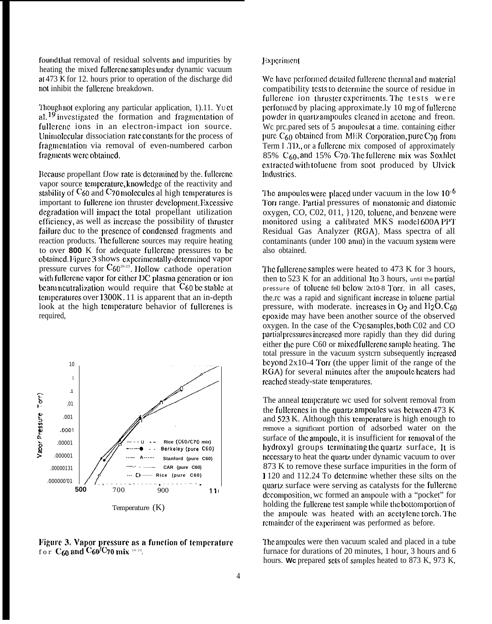found that removal of residual solvents and impurities by heating the mixed fullerenc samples under dynamic vacuum at 473 K for 12. hours prior to operation of the discharge did not inhibit the fullcrenc breakdown.

Though not exploring any particular application,  $1$ ).11. Yu ct al.  $^{19}$  investigated the formation and fragmentation of fullerenc ions in an electron-impact ion source. Unimolecular dissociation rate constants for the process of fragmentation via removal of even-numbered carbon fragments were obtained.

Because propellant fJow rate is determined by the. fullerenc vapor source temperature, knowledge of the reactivity and stability of  $C_{60}$  and  $C_{70}$  molecules al high temperatures is important to fullcrene ion thruster development. Excessive dcgradation will impact the total propellant utilization efficiency, as well as increase the possibility of thruster failure duc to the presence of condensed fragments and reaction products. The fullerenc sources may require heating to over **800** K for adequate fullcrenc pressures to be obtained. Figure 3 shows experimentally-determined vapor pressure curves for  $C_{60^{20-23}}$ . Hollow cathode operation with fullerene vapor for either DC plasma generation or ion beam neutralization would require that  $C_{60}$  be stable at lcmpcralurcs over 1300K, 11 is apparent that an in-depth look at the high temperature behavior of fullerenes is required,



**lation 3. Vapor pressure as a function of temperature** for  $\mathrm{C}_{60}$  and  $\mathrm{C}_{60}$ /C70 mix  $^{\scriptscriptstyle 20\text{-}23}$ .

#### Experiment

We have performed detailed fullerene thermal and material compatibility tests to determine the source of residue in fullcrenc ion thruster experiments. The tests were performed by placing approximate.ly 10 mg of fullerene powder in quartz ampoules cleaned in acctone and freon. We pre.pared sets of  $5$  ampoules at a time. containing either pure  $C_{60}$  obtained from MER Corporation, pure C<sub>70</sub> from Term I TD., or a fullerenc mix composed of approximately 85%  $C_{60}$ , and 15%  $C_{70}$ . The fullerene mix was Soxhlet extracted with toluene from soot produced by Ulvick Industrics.

The ampoules were placed under vacuum in the low  $10^{-6}$ Torr range. Partial pressures of monatomic and diatomic oxygen,  $CO$ ,  $CO2$ ,  $011$ ,  $120$ , tolucne, and benzene were monitored using a calibrated MKS model 600A PPT Residual Gas Analyzer (RGA). Mass spectra of all contaminants (under 100 amu) in the vacuum system were also obtained.

The fuller cne samples were heated to 473 K for 3 hours, then to  $523 \text{ K}$  for an additional 1 to 3 hours, until the partial pressure of tolucnc fell bclow 2x10-8 Torr. in all cases, the.rc was a rapid and significant increase in tolucne partial pressure, with moderate. increases in  $O<sub>2</sub>$  and  $H<sub>2</sub>O$ . C<sub>60</sub> cpoxidc may have been another source of the observed oxygen. In the case of the C70 sarnplcs, both C02 and CO partial pressures increased more rapidly than they did during either the pure C60 or mixed fullerene sample heating. The total pressure in the vacuum systern subsequently increased bcyond  $2x10-4$  Torr (the upper limit of the range of the RGA) for several minutes after the ampoule heaters had reached steady-state temperatures.

The anneal temperature wc used for solvent removal from the fullcrencs in the quartz ampoules was between  $473 \text{ K}$ and  $523$  K. Although this temperature is high enough to remove a significant portion of adsorbed water on the surface of the ampoule, it is insufficient for removal of the hydroxyl groups terminating the quartz surface, It is ncccssary to heat the quartx under dynamic vacuum to over 873 K to remove these surface impurities in the form of } 120 and 112.24 To dctcrminc whether these silts on the quartz surface were serving as catalysts for the fullerene decomposition, we formed an ampoule with a "pocket" for holding the fullcrenc test sample while the bottom portion of the ampoule was heated with an acctylene torch. The rcmainder of the experiment was performed as before.

The ampoules were then vacuum scaled and placed in a tube furnace for durations of 20 minutes, 1 hour, 3 hours and 6 hours. We prepared sets of samples heated to 873 K, 973 K,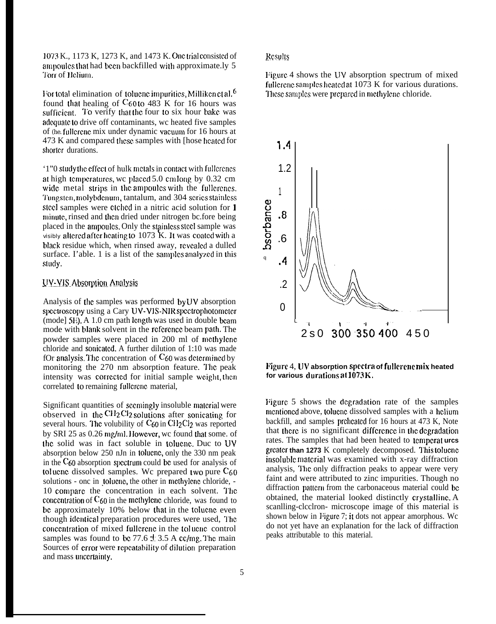1073 K., 1173 K, 1273 K, and 1473 K. One trial consisted of ampoules that had been backfilled with approximate.ly 5 '1'orr of J lcliom.

For total elimination of toluene impurities, Milliken et al.<sup>6</sup> found that healing of  $C_{60}$  to 483 K for 16 hours was sufficient. To verify that the four to six hour bake was adequate to drive off contaminants, we heated five samples of (he. fullerene mix under dynamic vacuum for 16 hours at 473 K and compared these samples with [hose heated for shorter durations.

'1"0 study the effect of hulk metals in contact with fullerenes at high temperatures, we placed  $5.0$  cm long by  $0.32$  cm wide metal strips in the ampoules with the fullerenes. Tungsten, molybdenum, tantalum, and 304 series stainless steel samples were ctched in a nitric acid solution for 1 minute, rinsed and then dried under nitrogen bc.fore being placed in the ampoules. Only the stainless steel sample was visibly altered after heating to  $1073$  K. It was coated with a black residue which, when rinsed away, rcvcalcd a dulled surface. I'able. 1 is a list of the samples analyzed in this sludy.

# UV-VIS Absorption Analysis

Analysis of the samples was performed  $by UV$  absorption spectroscopy using a Cary UV-VIS-NIR spectrophotometer (mode] 5E). A 1.0 cm path length was used in double beam mode with blank solvent in the reference beam path. The powder samples were placed in 200 ml of mcthylcnc chloride and sonicated. A further dilution of  $1:10$  was made fOr analysis. The concentration of  $C_{60}$  was determined by monitoring the 270 nm absorption feature. The peak intensity was corrected for initial sample weight, then correlated to remaining fullcrene material,

Significant quantities of seemingly insoluble material were observed in the  $\text{CH}_2\text{Cl}_2$  solutions after sonicating for several hours. The volubility of  $C_{60}$  in CH<sub>2</sub>Cl<sub>2</sub> was reported by SRI 25 as 0.26 mg/ml, However, wc found that some. of the solid was in fact soluble in toluene. Duc to UV absorption below 250 nJn in toluene, only the 330 nm peak in the  $C_{60}$  absorption spectrum could be used for analysis of tolucne dissolved samples. We prepared two pure  $C_{60}$ solutions - onc in toluenc, the other in methylene chloride, -10 compare the concentration in each solvent. The concentration of  $C_{60}$  in the methylene chloride, was found to be approximately  $10\%$  below that in the tolucne even though identical preparation procedures were used, The concentration of mixed fullerene in the toluene control samples was found to be 77.6  $\pm$  3.5 A cc/mg. The main Sources of crror were repeatability of dilution preparation and mass uncertainty.

## **R**esults

Figure 4 shows the UV absorption spectrum of mixed fullcrcnc samples heated at  $1073$  K for various durations. These samples were prepared in methylene chloride.



## **Figure** 4, UV absorption spectra of fullerene mix heated **for various durations at 1073 K**.

Figure 5 shows the degradation rate of the samples mentioned above, toluene dissolved samples with a helium backfill, and samples preheated for 16 hours at 473 K, Note that there is no significant difference in the degradation rates. The samples that had been heated to tcmpcrat **urcs** greater than 1273 K completely decomposed. This tolucne insoluble material was examined with x-ray diffraction analysis, The only diffraction peaks to appear were very faint and were attributed to zinc impurities. Though no diffraction pattern from the carbonaceous material could be obtained, the material looked distinctly crystalline. A scanlling-clcclron- microscope image of this material is shown below in Figure 7; it dots not appear amorphous. Wc do not yet have an explanation for the lack of diffraction peaks attributable to this material.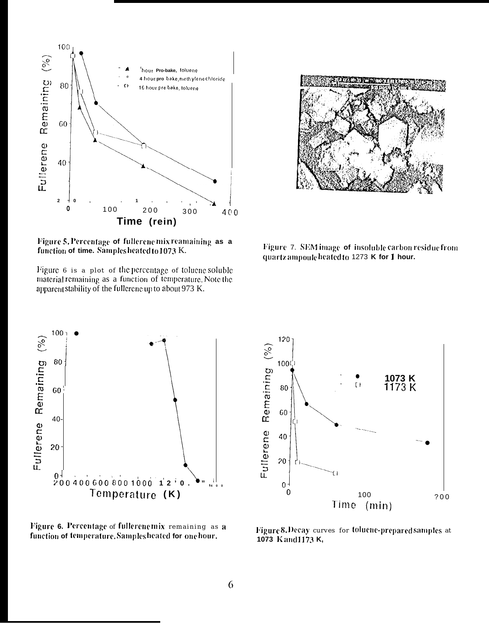

Figure 5. Percentage of fullerene mix reamaining as a function of time. Samples heated to 1073 K.

Figure 6 is a plot of the percentage of toluene soluble material remaining as a function of temperature. Note the apparent stability of the fullerene up to about 973 K.

Figure 7. SEM image of insoluble carbon residue from quartz ampoule heated to 1273 K for 1 hour.



Figure 6. Percentage of fullerenemix remaining as a function of temperature. Samples heated for one hour.



Figure 8. Decay curves for toluene-prepared samples at 1073 Kand1173 K,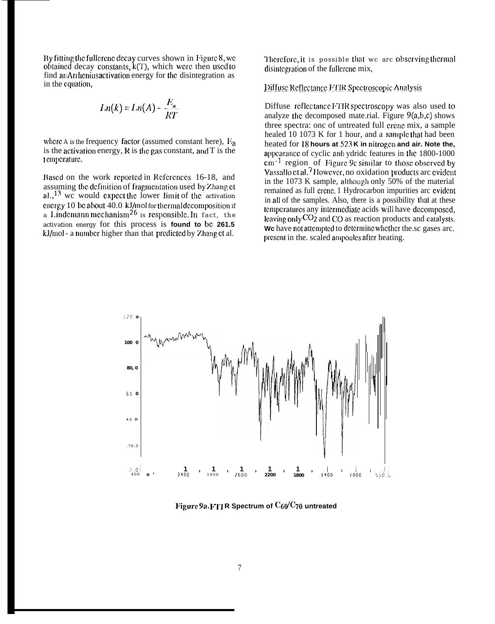By fitting the fullerene decay curves shown in Figure 8, we obtained decay constants,  $k(T)$ , which were then used to find an Arrhenius activation energy for the disintegration as in the equation,

$$
Ln(k) = Ln(A) - \frac{E_a}{RT}
$$

where A is the frequency factor (assumed constant here),  $E_{a}$ is the activation energy,  $R$  is the gas constant, and  $T$  is the temperature.

Based on the work reported in References 16-18, and assuming the definition of fragmentation used by Zhang et  $aL$ ,  $13$  we would expect the lower limit of the activation energy 10 be about 40.0 kJ/mol for thermal decomposition if<br>a Lindemann mechanism<sup>26</sup> is responsible. In fact, the activation energy for this process is found to be 261.5 kJ/mol - a number higher than that predicted by Zhang et al.

Therefore, it is possible that we are observing thermal disintegration of the fullerene mix.

Diffuse Reflectance FTIR Spectroscopic Analysis

Diffuse reflectance FTIR spectroscopy was also used to analyze the decomposed mate.rial. Figure  $9(a,b,c)$  shows three spectra: onc of untreated full crene mix, a sample healed 10 1073 K for 1 hour, and a sample that had been heated for 18 hours at 523 K in nitrogen and air. Note the, appearance of cyclic anh ydride features in the 1800-1000 cm<sup>-1</sup> region of Figure 9c similar to those observed by Vassallo et al.<sup>7</sup> However, no oxidation products are evident in the 1073 K sample, although only 50% of the material remained as full crene. 1 Hydrocarbon impurities arc evident in all of the samples. Also, there is a possibility that at these temperatures any intermediate acids will have decomposed, leaving only  $CO<sub>2</sub>$  and CO as reaction products and catalysts. We have not attempted to determine whether the se gases are. present in the. scaled ampoules after heating.



Figure 9a. FII R Spectrum of  $C_{60}/C_{70}$  untreated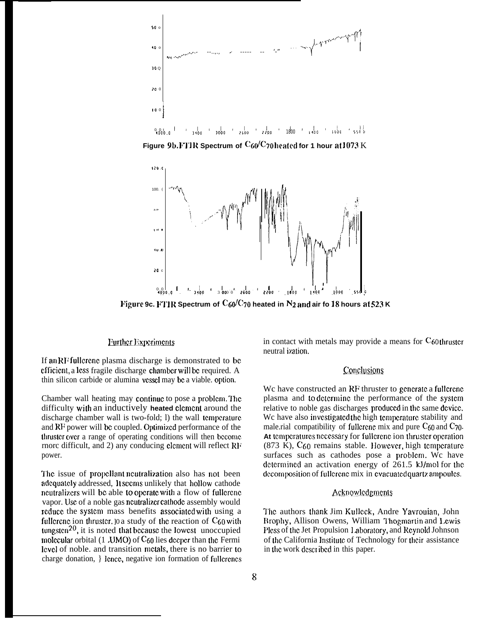

 $\frac{1}{100}$   $\frac{1}{1000}$   $\frac{1}{2000}$   $\frac{1}{2500}$   $\frac{1}{2200}$   $\frac{1}{1800}$   $\frac{1}{1000}$   $\frac{1}{1000}$   $\frac{1}{5500}$  $0.01$ 

Figure 9b. FTIR Spectrum of  $C_60/C$ 70 heated for 1 hour at 1073 K



Figure 9c. FTIR Spectrum of  $C_60/C_70$  heated in N<sub>2</sub> and air fo 18 hours at 523 K

## Further Experiments

If an RF fullerenc plasma discharge is demonstrated to be efficient, a less fragile discharge chamber will be required. A thin silicon carbide or alumina vessel may be a viable, option.

Chamber wall heating may continue to pose a problem. The difficulty with an inductively heated clement around the discharge chamber wall is two-fold; 1) the wall temperature and RF power will be coupled. Optimized performance of the thruster over a range of operating conditions will then become rnorc difficult, and 2) any conducing element will reflect RF power.

The issue of propellant neutralization also has not been adequately addressed, It seems unlikely that hollow cathode neutralizers will be able to operate with a flow of fullerene vapor. Use of a noble gas neutralizer cathode assembly would reduce the system mass benefits associated with using a fullerenc ion thruster. 10 a study of the reaction of  $C_{60}$  with tungsten<sup>20</sup>, it is noted that because the lowest unoccupied molecular orbital  $(1 \text{ JIMO})$  of  $C_{60}$  lies deeper than the Fermi level of noble, and transition metals, there is no barrier to charge donation, { lence, negative ion formation of fullerencs in contact with metals may provide a means for  $C_{60}$  thruster neutral ization.

## Conclusions

We have constructed an RF thruster to generate a fullerene plasma and to determine the performance of the system relative to noble gas discharges produced in the same device. We have also investigated the high temperature stability and male.rial compatibility of fullerenc mix and pure  $C_{60}$  and  $C_{70}$ . At temperatures necessary for fullerene ion thruster operation  $(873 \text{ K})$ ,  $C_{60}$  remains stable. However, high temperature surfaces such as cathodes pose a problem. We have determined an activation energy of 261.5 kJ/mol for the decomposition of fullerene mix in evacuated quartz ampoules.

## Acknowledgments

The authors thank Jim Kulleck, Andre Yavrouian, John Brophy, Allison Owens, William Thogmartin and Lewis Pless of the Jet Propulsion Laboratory, and Reynold Johnson of the California Institute of Technology for their assistance in the work described in this paper.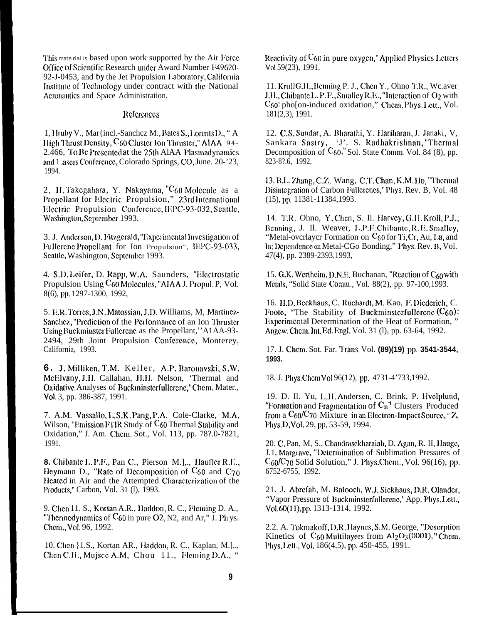This mate rial is based upon work supported by the Air Force Office of Scientific Research under Award Number F49620-92-J-0453, and by the Jet Propulsion Laboratory, California Institute of Technology under contract with the National Aeronautics and Space Administration.

#### References

1, Hruby V., Mar {incl.-Sanchcz M., Bates S., Lorents D., "A High Thrust Density, C60 Cluster Ion Thruster." AIAA 94-2.466, To Be Presented at the 25th AIAA Plasmadynamics and 1 asers Conference, Colorado Springs, CO, June. 20-'23, 1994.

2, H. Takegahara, Y. Nakayama, "C60 Molecule as a Propellant for Electric Propulsion," 23rd International Electric Propulsion Conference, IEPC-93-032, Seattle, Washington, September 1993.

3. J. Anderson, D. Fitzgerald, "Experimental Investigation of Fullerenc Propellant for Ion Propulsion", IEPC-93-033, Seattle, Washington, September 1993.

4. S.D. Leifer, D. Rapp, W.A. Saunders, "Electrostatic Propulsion Using C60 Molecules, "AIAA J. Propul. P, Vol. 8(6), pp. 1297-1300, 1992,

5. E.R. Torres, J.N. Matossian, J.D. Williams, M. Martinez-Sanchez, "Prediction of the Performance of an Ion Thruster Using Buckminster Fullerene as the Propellant," A1AA-93-2494, 29th Joint Propulsion Conference, Monterey, California, 1993.

6. J. Milliken, T.M. Keller, A.P. Baronavski, S.W. McElvany, J.H. Callahan, H.H. Nelson, 'Thermal and Oxidative Analyses of Buckminsterfullerene," Chem. Mater., Vol. 3, pp. 386-387, 1991.

7. A.M. Vassallo, L.S.K. Pang, P.A. Cole-Clarke, M.A. Wilson, "Emission FTIR Study of  $C_{60}$  Thermal Stability and Oxidation," J. Am. Chem. Sot., Vol. 113, pp. 78?.0-7821, 1991.

8. Chibante L. P.F., Pan C., Pierson M.],., Haufler R.E., Heymann D., "Rate of Decomposition of  $C_{60}$  and  $C_{70}$ Heated in Air and the Attempted Characterization of the Products," Carbon, Vol. 31 (1), 1993.

9. Chen 11. S., Kortan A.R., Haddon, R. C., Fleming D. A., "Thermodynamics of  $C_{60}$  in pure O2, N2, and Ar," J. Ph ys. Chem., Vol. 96, 1992.

10. Chen }1.S., Kortan AR., Haddon, R. C., Kaplan, M.J.., Chen C.H., Mujsce A.M. Chou 11., Fleming D.A., '

Reactivity of  $C_{60}$  in pure oxygen," Applied Physics Letters Vol 59(23), 1991.

11. KrollG.H., Benning P. J., Chen Y., Ohno T.R., Wc.aver J.H., Chibante L. P.F., Smalley R.E., "Interaction of O2 with C60: pho[on-induced oxidation," Chem. Phys. Lett., Vol.  $181(2,3)$ , 1991.

12. C.S. Sundar, A. Bharathi, Y. Hariharan, J. Janaki, V. Sankara Sastry, 'J'. S. Radhakrishnan, "Thermal Decomposition of C<sub>60</sub>," Sol. State Comm. Vol. 84 (8), pp. 823-8?.6, 1992,

13. B.L. Zhang, C.Z. Wang, C.T. Chan, K.M. Ho, "Thermal Disintegration of Carbon Fullerenes," Phys. Rev. B, Vol. 48  $(15)$ , pp. 11381-11384, 1993.

14. T.R. Ohno, Y. Chen, S. Ii. Harvey, G.H. Kroll, P.J., Benning, J. Il. Weaver, L.P.F. Chibante, R.E. Smalley, "Metal-ovcrlayer Formation on C<sub>60</sub> for Ti, Cr, Au, La, and In: Dependence on Metal-CGo Bonding," Phys. Rev. B, Vol. 47(4), pp. 2389-2393,1993,

15. G.K. Wertheim, D.N.E. Buchanan, "Reaction of C<sub>60</sub> with Metals, "Solid State Comm., Vol. 88(2), pp. 97-100,1993.

16. H.D. Beckhaus, C. Ruchardt, M. Kao, F. Diederich, C. Foote, "The Stability of Buckminsterfullerene  $(C_{60})$ : Experimental Determination of the Heat of Formation," Angew. Chem. Int. Ed. Engl. Vol. 31 (1), pp. 63-64, 1992.

17. J. Chem. Sot. Far. Trans, Vol. (89)(19) pp. 3541-3544, 1993.

18. J. Phys. Chem Vol 96(12), pp. 4731-4'733, 1992.

19. D. Il. Yu, L.H. Andersen, C. Brink, P. Hvelplund, "Formation and Fragmentation of  $C_n$ <sup>4</sup> Clusters Produced from a  $C_{60}/C_{70}$  Mixture in an Electron-Impact Source, "Z. Phys.D, Vol. 29, pp. 53-59, 1994.

20. C. Pan, M, S., Chandrasekharaiah, D. Agan, R. II, Hauge, J.1, Margrave, "Determination of Sublimation Pressures of  $C_{60}/C_{70}$  Solid Solution," J. Phys.Chem., Vol. 96(16), pp. 6752-6755, 1992.

21. J. Abrefah, M. Balooch, W.J. Siekhaus, D.R. Olander, "Vapor Pressure of Buckminsterfullerene," App. Phys. Lett., Vol. 60(11), pp. 1313-1314, 1992.

2.2. A. Tokmakoff, D.R. Haynes, S.M. George, "Desorption Kinetics of  $C_{60}$  Multilayers from  $Al_2O_3(0001)$ , "Chem. Phys. I ctt., Vol. 186(4,5), pp. 450-455, 1991.